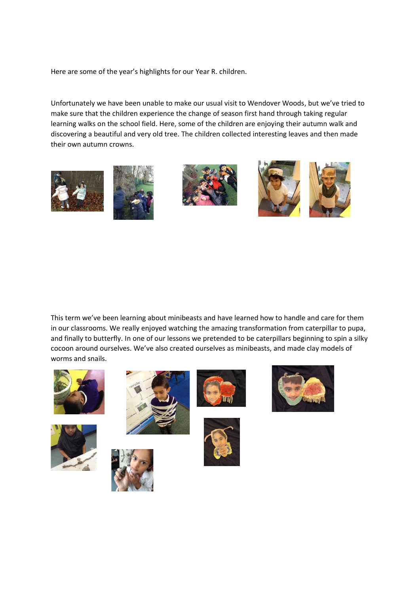Here are some of the year's highlights for our Year R. children.

Unfortunately we have been unable to make our usual visit to Wendover Woods, but we've tried to make sure that the children experience the change of season first hand through taking regular learning walks on the school field. Here, some of the children are enjoying their autumn walk and discovering a beautiful and very old tree. The children collected interesting leaves and then made their own autumn crowns.









This term we've been learning about minibeasts and have learned how to handle and care for them in our classrooms. We really enjoyed watching the amazing transformation from caterpillar to pupa, and finally to butterfly. In one of our lessons we pretended to be caterpillars beginning to spin a silky cocoon around ourselves. We've also created ourselves as minibeasts, and made clay models of worms and snails.